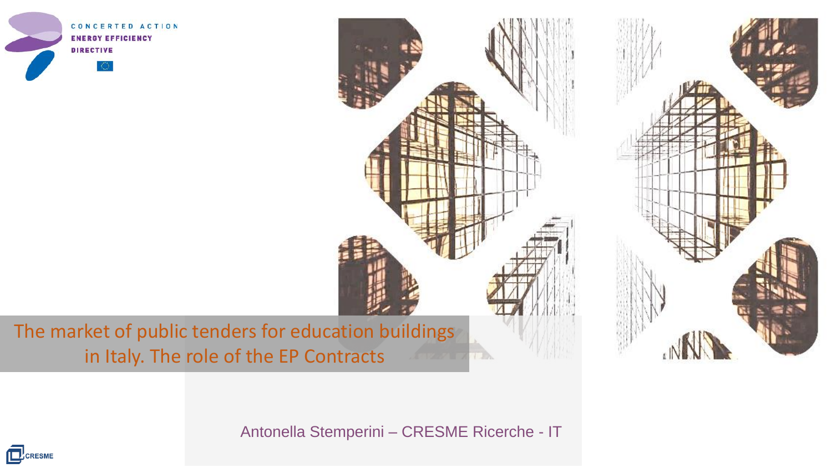





The market of public tenders for education buildings in Italy. The role of the EP Contracts

Antonella Stemperini – CRESME Ricerche - IT

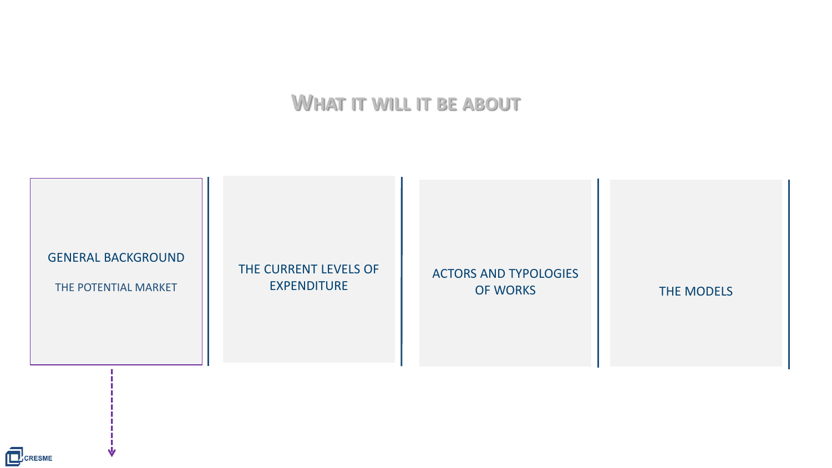# **WHAT IT WILL IT BE ABOUT**



CCCRESME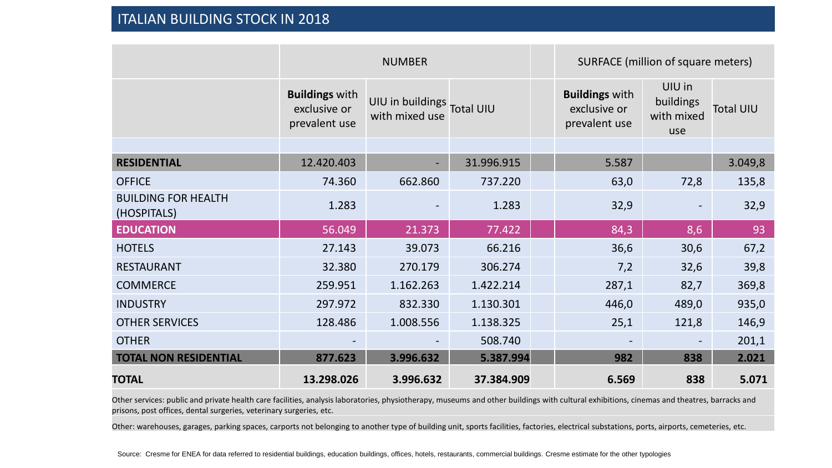|                                           | <b>NUMBER</b>                                          |                                              |            | SURFACE (million of square meters)                     |                                          |                  |  |  |
|-------------------------------------------|--------------------------------------------------------|----------------------------------------------|------------|--------------------------------------------------------|------------------------------------------|------------------|--|--|
|                                           | <b>Buildings with</b><br>exclusive or<br>prevalent use | UIU in buildings Total UIU<br>with mixed use |            | <b>Buildings with</b><br>exclusive or<br>prevalent use | UIU in<br>buildings<br>with mixed<br>use | <b>Total UIU</b> |  |  |
|                                           |                                                        |                                              |            |                                                        |                                          |                  |  |  |
| <b>RESIDENTIAL</b>                        | 12.420.403                                             | $\overline{\phantom{a}}$                     | 31.996.915 | 5.587                                                  |                                          | 3.049,8          |  |  |
| <b>OFFICE</b>                             | 74.360                                                 | 662.860                                      | 737.220    | 63,0                                                   | 72,8                                     | 135,8            |  |  |
| <b>BUILDING FOR HEALTH</b><br>(HOSPITALS) | 1.283                                                  |                                              | 1.283      | 32,9                                                   |                                          | 32,9             |  |  |
| <b>EDUCATION</b>                          | 56.049                                                 | 21.373                                       | 77.422     | 84,3                                                   | 8,6                                      | 93               |  |  |
| <b>HOTELS</b>                             | 27.143                                                 | 39.073                                       | 66.216     | 36,6                                                   | 30,6                                     | 67,2             |  |  |
| <b>RESTAURANT</b>                         | 32.380                                                 | 270.179                                      | 306.274    | 7,2                                                    | 32,6                                     | 39,8             |  |  |
| <b>COMMERCE</b>                           | 259.951                                                | 1.162.263                                    | 1.422.214  | 287,1                                                  | 82,7                                     | 369,8            |  |  |
| <b>INDUSTRY</b>                           | 297.972                                                | 832.330                                      | 1.130.301  | 446,0                                                  | 489,0                                    | 935,0            |  |  |
| <b>OTHER SERVICES</b>                     | 128.486                                                | 1.008.556                                    | 1.138.325  | 25,1                                                   | 121,8                                    | 146,9            |  |  |
| <b>OTHER</b>                              | $\overline{\phantom{a}}$                               |                                              | 508.740    |                                                        | $\overline{\phantom{a}}$                 | 201,1            |  |  |
| <b>TOTAL NON RESIDENTIAL</b>              | 877.623                                                | 3.996.632                                    | 5.387.994  | 982                                                    | 838                                      | 2.021            |  |  |
| <b>TOTAL</b>                              | 13.298.026                                             | 3.996.632                                    | 37.384.909 | 6.569                                                  | 838                                      | 5.071            |  |  |

Other services: public and private health care facilities, analysis laboratories, physiotherapy, museums and other buildings with cultural exhibitions, cinemas and theatres, barracks and prisons, post offices, dental surgeries, veterinary surgeries, etc.

Other: warehouses, garages, parking spaces, carports not belonging to another type of building unit, sports facilities, factories, electrical substations, ports, airports, cemeteries, etc.

Source: Cresme for ENEA for data referred to residential buildings, education buildings, offices, hotels, restaurants, commercial buildings. Cresme estimate for the other typologies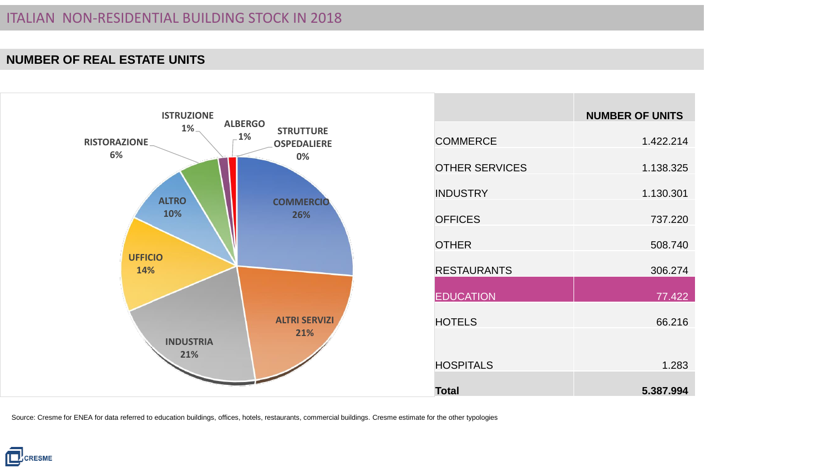#### **NUMBER OF REAL ESTATE UNITS**



|                       | <b>NUMBER OF UNITS</b> |
|-----------------------|------------------------|
| <b>COMMERCE</b>       | 1.422.214              |
| <b>OTHER SERVICES</b> | 1.138.325              |
| <b>INDUSTRY</b>       | 1.130.301              |
| <b>OFFICES</b>        | 737.220                |
| <b>OTHER</b>          | 508.740                |
| <b>RESTAURANTS</b>    | 306.274                |
| <b>EDUCATION</b>      | 77.422                 |
| <b>HOTELS</b>         | 66.216                 |
|                       |                        |
| <b>HOSPITALS</b>      | 1.283                  |
| <b>Total</b>          | 5.387.994              |

Source: Cresme for ENEA for data referred to education buildings, offices, hotels, restaurants, commercial buildings. Cresme estimate for the other typologies

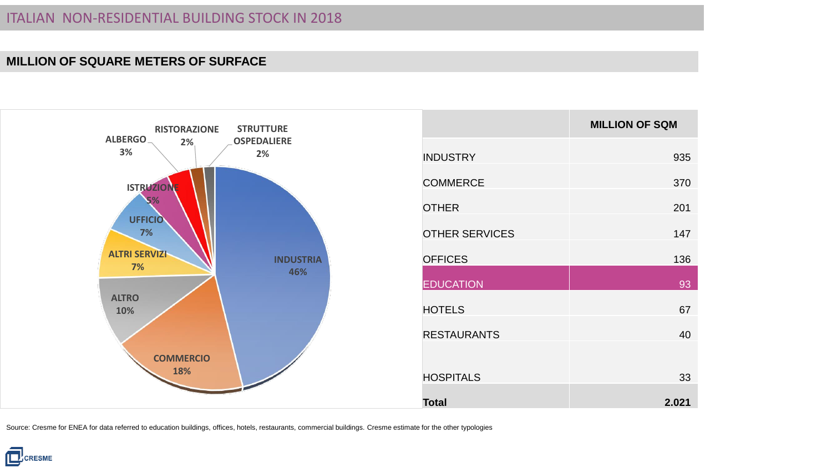#### **MILLION OF SQUARE METERS OF SURFACE**



|                       | <b>MILLION OF SQM</b> |
|-----------------------|-----------------------|
| <b>INDUSTRY</b>       | 935                   |
| <b>COMMERCE</b>       | 370                   |
| <b>OTHER</b>          | 201                   |
| <b>OTHER SERVICES</b> | 147                   |
| <b>OFFICES</b>        | 136                   |
| <b>EDUCATION</b>      | 93                    |
| <b>HOTELS</b>         | 67                    |
| <b>RESTAURANTS</b>    | 40                    |
|                       |                       |
| <b>HOSPITALS</b>      | 33                    |
| <b>Total</b>          | 2.021                 |

Source: Cresme for ENEA for data referred to education buildings, offices, hotels, restaurants, commercial buildings. Cresme estimate for the other typologies

**E**CRESME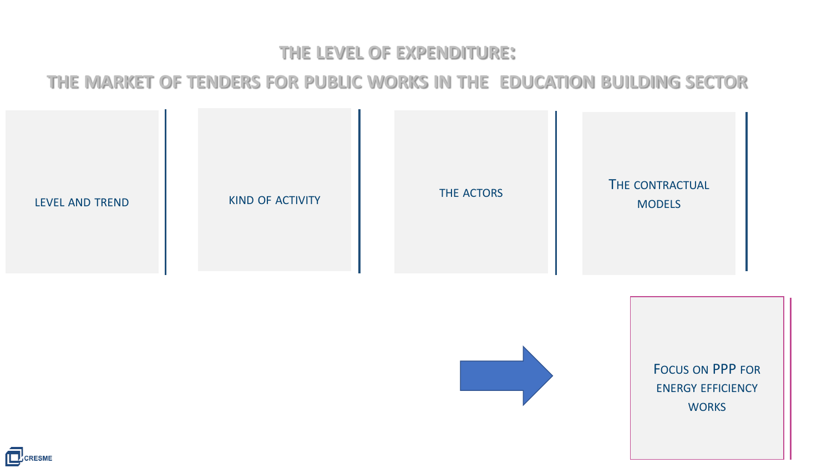# **THE LEVEL OF EXPENDITURE:**

# **THE MARKET OF TENDERS FOR PUBLIC WORKS IN THE EDUCATION BUILDING SECTOR**





FOCUS ON PPP FOR ENERGY EFFICIENCY **WORKS** 

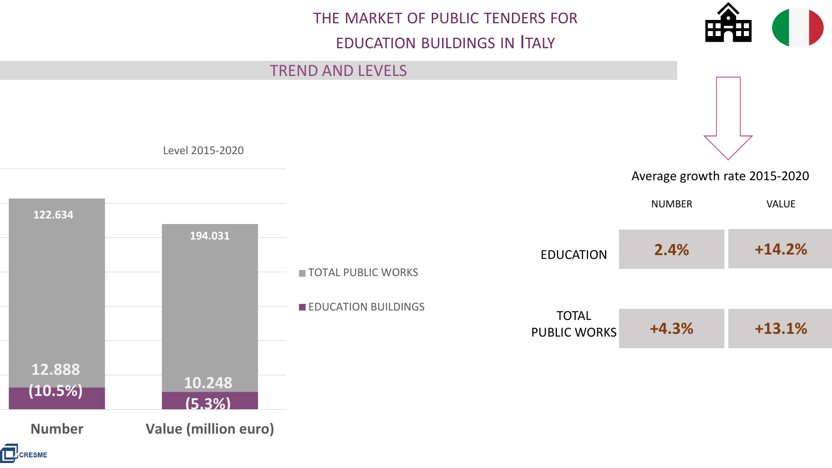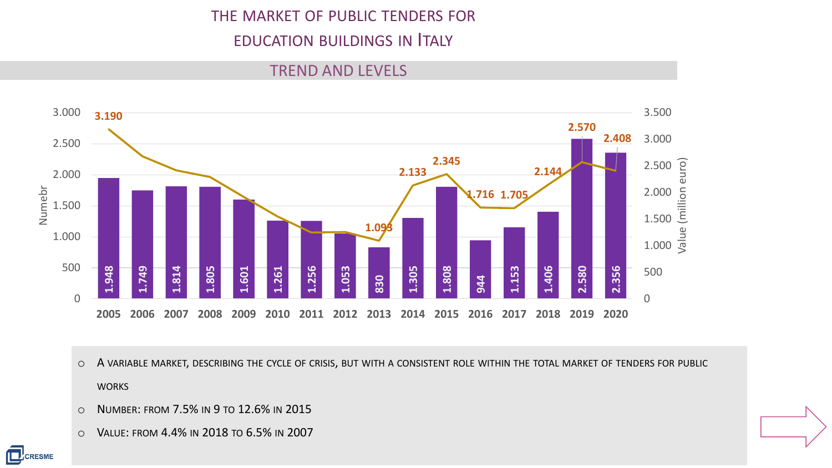### THE MARKET OF PUBLIC TENDERS FOR

# EDUCATION BUILDINGS IN ITALY

#### TREND AND LEVELS



- o A VARIABLE MARKET, DESCRIBING THE CYCLE OF CRISIS, BUT WITH A CONSISTENT ROLE WITHIN THE TOTAL MARKET OF TENDERS FOR PUBLIC **WORKS**
- o NUMBER: FROM 7.5% IN 9 TO 12.6% IN 2015
- 

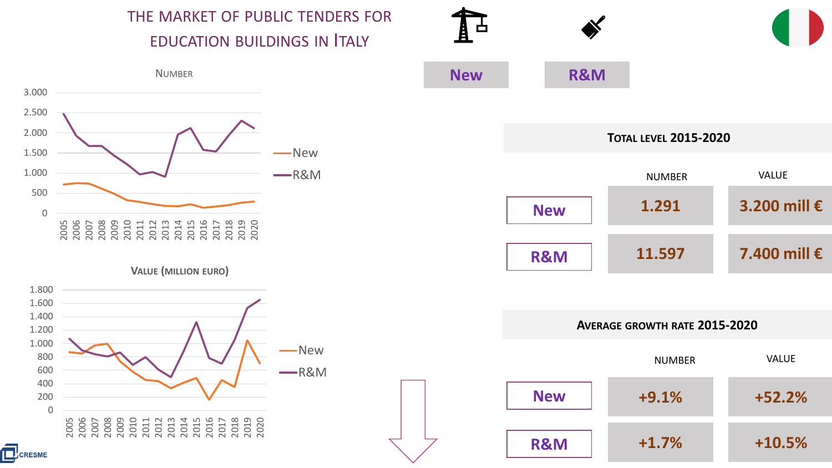THE MARKET OF PUBLIC TENDERS FOR EDUCATION BUILDINGS IN ITALY



**VALUE (MILLION EURO)**





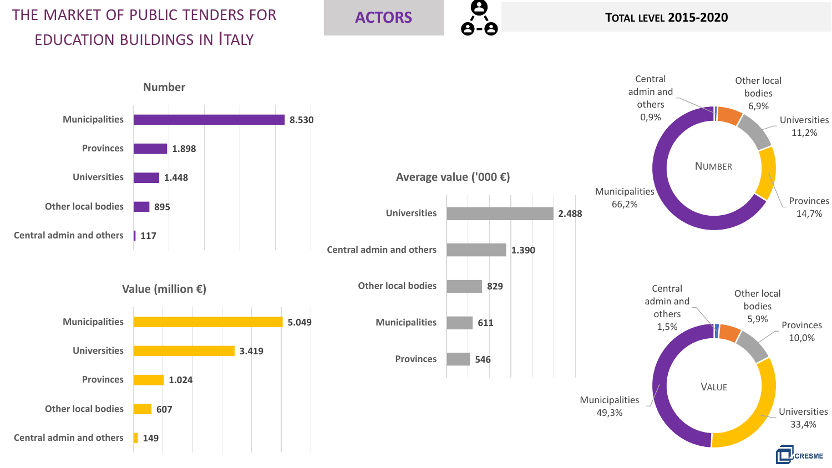# THE MARKET OF PUBLIC TENDERS FOR EDUCATION BUILDINGS IN ITALY

# **ACTORS B**<br>**B C**<br>**B C**<br>**B**

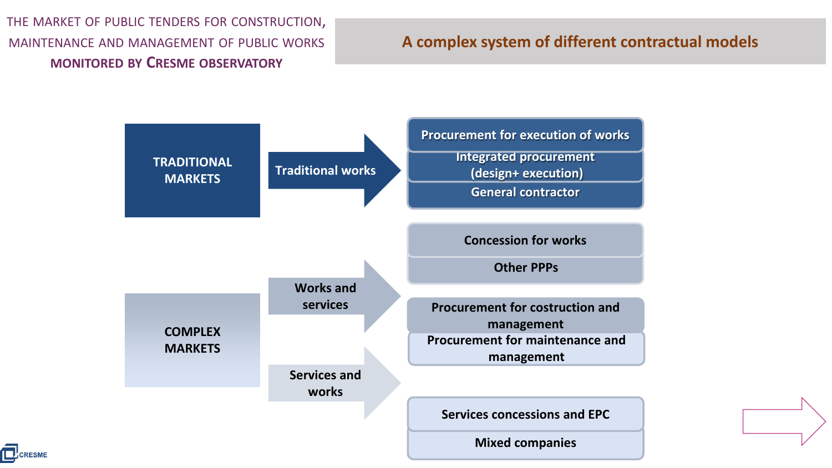THE MARKET OF PUBLIC TENDERS FOR CONSTRUCTION, MAINTENANCE AND MANAGEMENT OF PUBLIC WORKS **MONITORED BY CRESME OBSERVATORY**

# **A complex system of different contractual models**



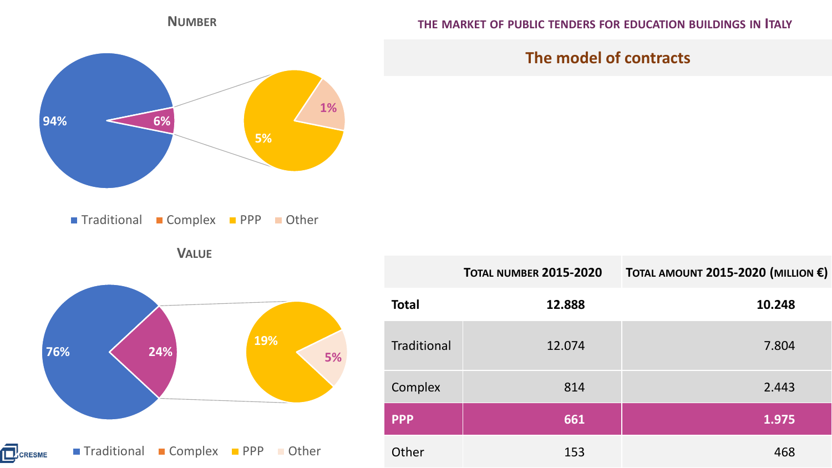

**NUMBER**

**THE MARKET OF PUBLIC TENDERS FOR EDUCATION BUILDINGS IN ITALY**



Traditional Complex PPP Other

**VALUE**



|                    | <b>TOTAL NUMBER 2015-2020</b> | TOTAL AMOUNT 2015-2020 (MILLION $\epsilon$ ) |  |  |  |
|--------------------|-------------------------------|----------------------------------------------|--|--|--|
| <b>Total</b>       | 12.888                        | 10.248                                       |  |  |  |
| <b>Traditional</b> | 12.074                        | 7.804                                        |  |  |  |
| Complex            | 814                           | 2.443                                        |  |  |  |
| <b>PPP</b>         | 661                           | 1.975                                        |  |  |  |
| Other              | 153                           | 468                                          |  |  |  |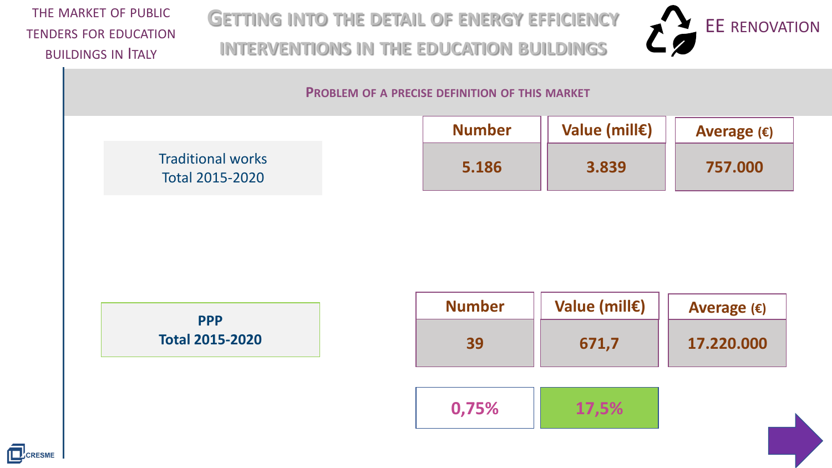THE MARKET OF PUBLIC TENDERS FOR EDUCATION **BUILDINGS IN TALY** 

**GETTING INTO THE DETAIL OF ENERGY EFFICIENCY INTERVENTIONS IN THE EDUCATION BUILDINGS**



#### **PROBLEM OF A PRECISE DEFINITION OF THIS MARKET**

|                                             | <b>Number</b> | Value (mill $\epsilon$ ) | Average $(\epsilon)$ |
|---------------------------------------------|---------------|--------------------------|----------------------|
| <b>Traditional works</b><br>Total 2015-2020 | 5.186         | 3.839                    | 757.000              |





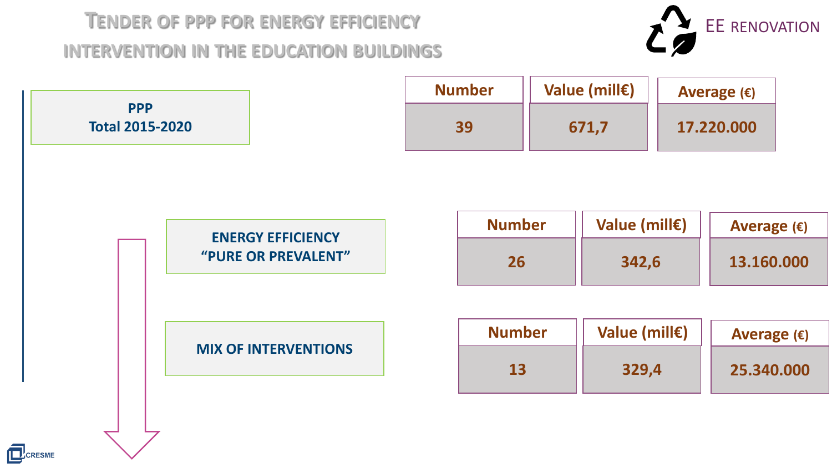# **TENDER OF PPP FOR ENERGY EFFICIENCY INTERVENTION IN THE EDUCATION BUILDINGS**



| <b>PPP</b><br><b>Total 2015-2020</b>            | <b>Number</b><br>39 | Value (mill€)<br>671,7 |                        | Average $(\epsilon)$<br>17.220.000 |  |
|-------------------------------------------------|---------------------|------------------------|------------------------|------------------------------------|--|
| <b>ENERGY EFFICIENCY</b><br>"PURE OR PREVALENT" | <b>Number</b><br>26 |                        | Value (mill€)<br>342,6 | Average $(\epsilon)$<br>13.160.000 |  |
| <b>MIX OF INTERVENTIONS</b>                     | <b>Number</b><br>13 |                        | Value (mill€)<br>329,4 | Average $(\epsilon)$<br>25.340.000 |  |
|                                                 |                     |                        |                        |                                    |  |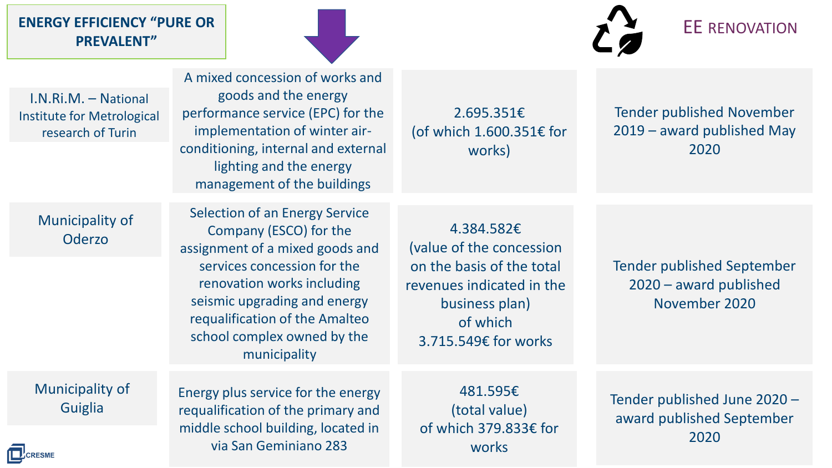# ENERGY EFFICIENCY "PURE OR **ENERGY EFFICIENCY"** PURE OR **EXECUTED ASSESS PREVALENT"**



I.N.Ri.M. – National Institute for Metrological research of Turin

A mixed concession of works and goods and the energy performance service (EPC) for the implementation of winter airconditioning, internal and external lighting and the energy management of the buildings

Municipality of

The pairty of the company (ESCO) for the 4.384.582€ Selection of an Energy Service assignment of a mixed goods and services concession for the renovation works including seismic upgrading and energy requalification of the Amalteo school complex owned by the municipality

works)

2.695.351€

(of which 1.600.351€ for

(value of the concession on the basis of the total revenues indicated in the business plan) of which 3.715.549€ for works

Tender published September 2020 – award published November 2020

Municipality of **Guiglia** 

Energy plus service for the energy requalification of the primary and middle school building, located in via San Geminiano 283

481.595€ (total value) of which 379.833€ for works

Tender published June 2020 – award published September 2020

Tender published November 2019 – award published May 2020